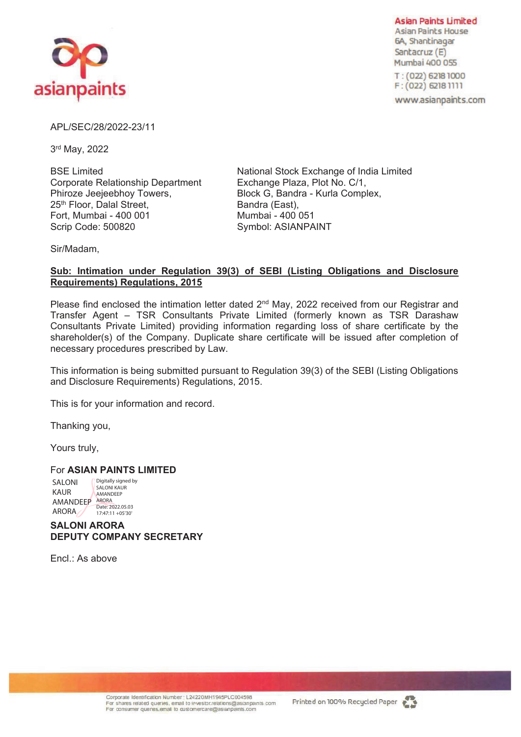

**Asian Paints Limited Asian Paints House** 6A, Shantinagar Santacruz (E) Mumbai 400 055

T: (022) 6218 1000  $F: (022)$  6218 1111

www.asianpaints.com

APL/SEC/28/2022-23/11

3rd May, 2022

BSE Limited Corporate Relationship Department Phiroze Jeejeebhoy Towers, 25<sup>th</sup> Floor, Dalal Street, Fort, Mumbai - 400 001 Scrip Code: 500820

National Stock Exchange of India Limited Exchange Plaza, Plot No. C/1, Block G, Bandra - Kurla Complex, Bandra (East), Mumbai - 400 051 Symbol: ASIANPAINT

Sir/Madam,

## **Sub: Intimation under Regulation 39(3) of SEBI (Listing Obligations and Disclosure Requirements) Regulations, 2015**

Please find enclosed the intimation letter dated 2<sup>nd</sup> May, 2022 received from our Registrar and Transfer Agent – TSR Consultants Private Limited (formerly known as TSR Darashaw Consultants Private Limited) providing information regarding loss of share certificate by the shareholder(s) of the Company. Duplicate share certificate will be issued after completion of necessary procedures prescribed by Law.

This information is being submitted pursuant to Regulation 39(3) of the SEBI (Listing Obligations and Disclosure Requirements) Regulations, 2015.

This is for your information and record.

Thanking you,

Yours truly,

### For **ASIAN PAINTS LIMITED**

SALONI KAUR AMANDEEP ARORA<br>
Date: 2022.05.03 ARORA Digitally signed by SALONI KAUR **AMANDEEP** 17:47:11 +05'30'

**SALONI ARORA DEPUTY COMPANY SECRETARY**

 $FncI \cdot As above$ 

Corporate Identification Number : L24220MH1945PLC004598<br>For shares related queries, email to investor relations@asianpaints com For consumer quenes, email to customercare@asianpaints.com

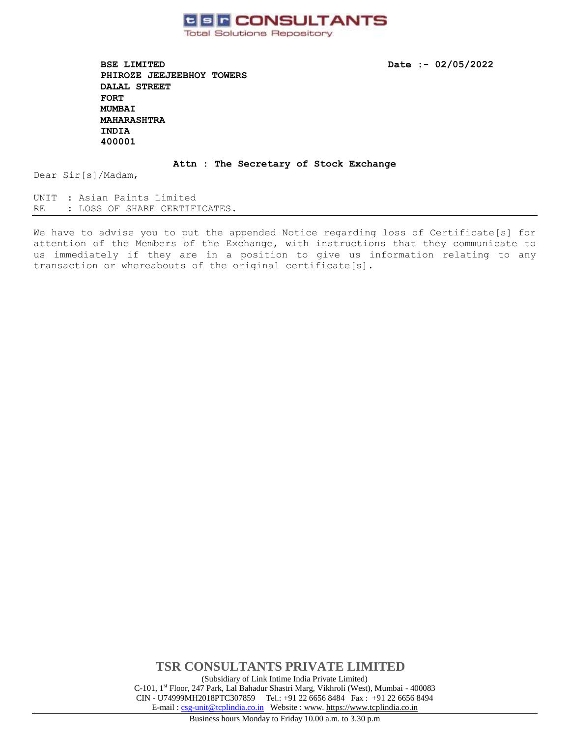

**BSE LIMITED** Date :- 02/05/2022 **PHIROZE JEEJEEBHOY TOWERS DALAL STREET FORT MUMBAI MAHARASHTRA INDIA 400001** 

#### **Attn : The Secretary of Stock Exchange**

Dear Sir[s]/Madam,

UNIT : Asian Paints Limited RE : LOSS OF SHARE CERTIFICATES.

We have to advise you to put the appended Notice regarding loss of Certificate[s] for attention of the Members of the Exchange, with instructions that they communicate to us immediately if they are in a position to give us information relating to any transaction or whereabouts of the original certificate[s].

> **TSR CONSULTANTS PRIVATE LIMITED** (Subsidiary of Link Intime India Private Limited) C-101, 1st Floor, 247 Park, Lal Bahadur Shastri Marg, Vikhroli (West), Mumbai - 400083 CIN - U74999MH2018PTC307859Tel.: +91 22 6656 8484 Fax : +91 22 6656 8494 E-mail [: csg-unit@tcplindia.co.in](mailto:csg-unit@tcplindia.co.in) Website : www. [https://www.tcplindia.co.in](http://www.tsrdarashaw.com/)

Business hours Monday to Friday 10.00 a.m. to 3.30 p.m